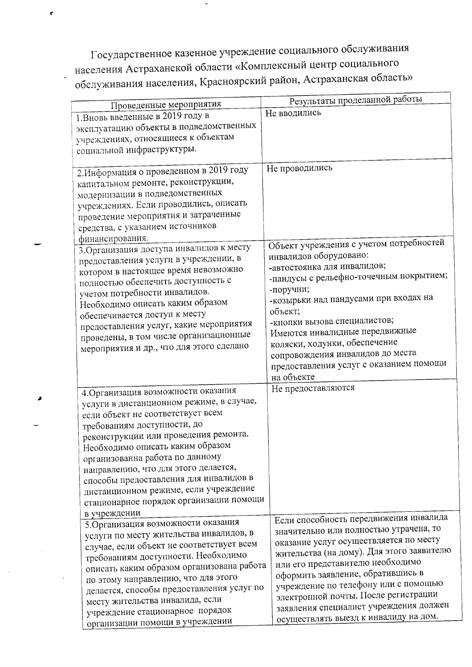Государственное казенное учреждение социального обслуживания населения Астраханской области «Комплексный центр социального обслуживания населения, Красноярский район, Астраханская область»

 $\mathbf{r}$ 

| Проведенные мероприятия                                                                                                                                                                                                                                                                                                                                                                                                                   | Результаты проделанной работы                                                                                                                                                                                                                                                                                                                                                                                       |
|-------------------------------------------------------------------------------------------------------------------------------------------------------------------------------------------------------------------------------------------------------------------------------------------------------------------------------------------------------------------------------------------------------------------------------------------|---------------------------------------------------------------------------------------------------------------------------------------------------------------------------------------------------------------------------------------------------------------------------------------------------------------------------------------------------------------------------------------------------------------------|
| 1. Вновь введенные в 2019 году в<br>эксплуатацию объекты в подведомственных<br>учреждениях, относящиеся к объектам<br>социальной инфраструктуры.                                                                                                                                                                                                                                                                                          | Не вводились                                                                                                                                                                                                                                                                                                                                                                                                        |
| 2. Информация о проведенном в 2019 году<br>капитальном ремонте, реконструкции,<br>модернизации в подведомственных<br>учреждениях. Если проводились, описать<br>проведение мероприятия и затраченные<br>средства, с указанием источников<br>финансирования.                                                                                                                                                                                | Не проводились                                                                                                                                                                                                                                                                                                                                                                                                      |
| 3. Организация доступа инвалидов к месту<br>предоставления услуги в учреждении, в<br>котором в настоящее время невозможно<br>полностью обеспечить доступность с<br>учетом потребности инвалидов.<br>Необходимо описать каким образом<br>обеспечивается доступ к месту<br>предоставления услуг, какие мероприятия<br>проведены, в том числе организационные<br>мероприятия и др., что для этого сделано                                    | Объект учреждения с учетом потребностей<br>инвалидов оборудовано:<br>-автостоянка для инвалидов;<br>-пандусы с рельефно-точечным покрытием;<br>-поручни;<br>-козырьки над пандусами при входах на<br>объект;<br>-кнопки вызова специалистов;<br>Имеются инвалидные передвижные<br>коляски, ходунки, обеспечение<br>сопровождения инвалидов до места<br>предоставления услуг с оказанием помощи<br>на объекте        |
| 4. Организация возможности оказания<br>услуги в дистанционном режиме, в случае,<br>если объект не соответствует всем<br>требованиям доступности, до<br>реконструкции или проведения ремонта.<br>Необходимо описать каким образом<br>организованна работа по данному<br>направлению, что для этого делается,<br>способы предоставления для инвалидов в<br>дистанционном режиме, если учреждение<br>стационарное порядок организации помощи | Не предоставляются                                                                                                                                                                                                                                                                                                                                                                                                  |
| в учреждении<br>5. Организация возможности оказания<br>услуги по месту жительства инвалидов, в<br>случае, если объект не соответствует всем<br>требованиям доступности. Необходимо<br>описать каким образом организована работа<br>по этому направлению, что для этого<br>делается, способы предоставления услуг по<br>месту жительства инвалида, если<br>учреждение стационарное порядок                                                 | Если способность передвижения инвалида<br>значительно или полностью утрачена, то<br>оказание услуг осуществляется по месту<br>жительства (на дому). Для этого заявителю<br>или его представителю необходимо<br>оформить заявление, обратившись в<br>учреждение по телефону или с помощью<br>электронной почты. После регистрации<br>заявления специалист учреждения должен<br>осуществлять выезд к инвалиду на дом. |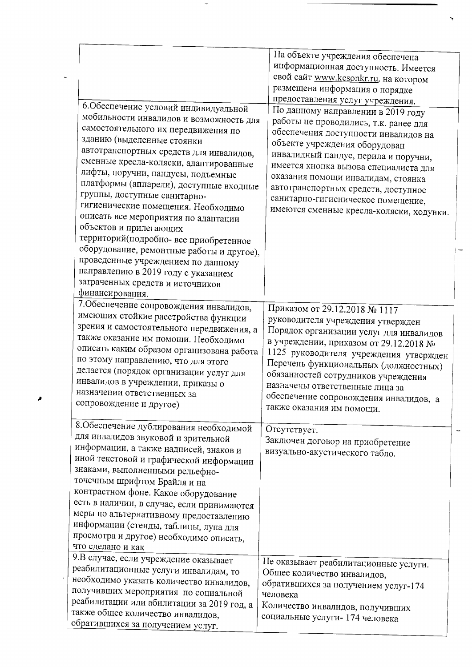|                                            | На объекте учреждения обеспечена<br>информационная доступность. Имеется |
|--------------------------------------------|-------------------------------------------------------------------------|
|                                            | свой сайт www.kcsonkr.ru, на котором                                    |
|                                            | размещена информация о порядке                                          |
|                                            | предоставления услуг учреждения.                                        |
| б.Обеспечение условий индивидуальной       | По данному направлении в 2019 году                                      |
| мобильности инвалидов и возможность для    | работы не проводились, т.к. ранее для                                   |
| самостоятельного их передвижения по        |                                                                         |
| зданию (выделенные стоянки                 | обеспечения доступности инвалидов на                                    |
| автотранспортных средств для инвалидов,    | объекте учреждения оборудован                                           |
| сменные кресла-коляски, адаптированные     | инвалидный пандус, перила и поручни,                                    |
| лифты, поручни, пандусы, подъемные         | имеется кнопка вызова специалиста для                                   |
| платформы (аппарели), доступные входные    | оказания помощи инвалидам, стоянка                                      |
| группы, доступные санитарно-               | автотранспортных средств, доступное                                     |
| гигиенические помещения. Необходимо        | санитарно-гигиеническое помещение,                                      |
| описать все мероприятия по адаптации       | имеются сменные кресла-коляски, ходунки.                                |
| объектов и прилегающих                     |                                                                         |
| территорий(подробно-все приобретенное      |                                                                         |
| оборудование, ремонтные работы и другое),  |                                                                         |
| проведенные учреждением по данному         |                                                                         |
| направлению в 2019 году с указанием        |                                                                         |
| затраченных средств и источников           |                                                                         |
| финансирования.                            |                                                                         |
| 7. Обеспечение сопровождения инвалидов,    |                                                                         |
| имеющих стойкие расстройства функции       | Приказом от 29.12.2018 № 1117                                           |
| зрения и самостоятельного передвижения, а  | руководителя учреждения утвержден                                       |
| также оказание им помощи. Необходимо       | Порядок организации услуг для инвалидов                                 |
| описать каким образом организована работа  | в учреждении, приказом от 29.12.2018 №                                  |
| по этому направлению, что для этого        | 1125 руководителя учреждения утвержден                                  |
| делается (порядок организации услуг для    | Перечень функциональных (должностных)                                   |
| инвалидов в учреждении, приказы о          | обязанностей сотрудников учреждения                                     |
| назначении ответственных за                | назначены ответственные лица за                                         |
| сопровождение и другое)                    | обеспечение сопровождения инвалидов, а                                  |
|                                            | также оказания им помощи.                                               |
| 8. Обеспечение дублирования необходимой    | Отсутствует.                                                            |
| для инвалидов звуковой и зрительной        |                                                                         |
| информации, а также надписей, знаков и     | Заключен договор на приобретение                                        |
| иной текстовой и графической информации    | визуально-акустического табло.                                          |
| знаками, выполненными рельефно-            |                                                                         |
| точечным шрифтом Брайля и на               |                                                                         |
| контрастном фоне. Какое оборудование       |                                                                         |
| есть в наличии, в случае, если принимаются |                                                                         |
| меры по альтернативному предоставлению     |                                                                         |
| информации (стенды, таблицы, лупа для      |                                                                         |
| просмотра и другое) необходимо описать,    |                                                                         |
| что сделано и как                          |                                                                         |
| 9.В случае, если учреждение оказывает      |                                                                         |
| реабилитационные услуги инвалидам, то      | Не оказывает реабилитационные услуги.                                   |
| необходимо указать количество инвалидов,   | Общее количество инвалидов,                                             |
| получивших мероприятия по социальной       | обратившихся за получением услуг-174<br>человека                        |
| реабилитации или абилитации за 2019 год, а |                                                                         |
|                                            |                                                                         |
| также общее количество инвалидов,          | Количество инвалидов, получивших<br>социальные услуги-174 человека      |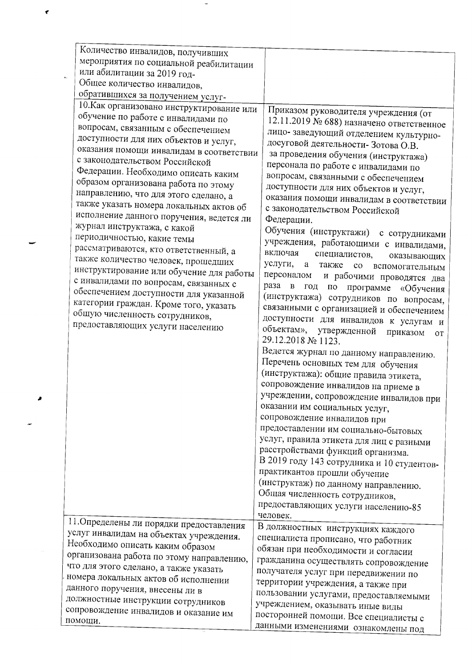| Количество инвалидов, получивших          |                                                                  |  |
|-------------------------------------------|------------------------------------------------------------------|--|
| мероприятия по социальной реабилитации    |                                                                  |  |
| или абилитации за 2019 год-               |                                                                  |  |
| Общее количество инвалидов,               |                                                                  |  |
| обратившихся за получением услуг-         |                                                                  |  |
| 10. Как организовано инструктирование или |                                                                  |  |
| обучение по работе с инвалидами по        | Приказом руководителя учреждения (от                             |  |
| вопросам, связанным с обеспечением        | 12.11.2019 № 688) назначено ответственное                        |  |
|                                           | лицо- заведующий отделением культурно-                           |  |
| доступности для них объектов и услуг,     | досуговой деятельности-Зотова О.В.                               |  |
| оказания помощи инвалидам в соответствии  | за проведения обучения (инструктажа)                             |  |
| с законодательством Российской            | персонала по работе с инвалидами по                              |  |
| Федерации. Необходимо описать каким       | вопросам, связанными с обеспечением                              |  |
| образом организована работа по этому      | доступности для них объектов и услуг,                            |  |
| направлению, что для этого сделано, а     | оказания помощи инвалидам в соответствии                         |  |
| также указать номера локальных актов об   | с законодательством Российской                                   |  |
| исполнение данного поручения, ведется ли  | Федерации.                                                       |  |
| журнал инструктажа, с какой               | Обучения (инструктажи)<br>с сотрудниками                         |  |
| периодичностью, какие темы                | учреждения, работающими с инвалидами,                            |  |
| рассматриваются, кто ответственный, а     | включая<br>специалистов,<br>оказывающих                          |  |
| также количество человек, прошедших       | услуги,<br>a<br>также<br>$\rm{co}$<br>вспомогательным            |  |
| инструктирование или обучение для работы  | персоналом<br>и рабочими проводятся два                          |  |
| с инвалидами по вопросам, связанных с     | раза в<br>год по<br>программе                                    |  |
| обеспечением доступности для указанной    | «Обучения<br>(инструктажа) сотрудников по вопросам,              |  |
| категории граждан. Кроме того, указать    | связанными с организацией и обеспечением                         |  |
| общую численность сотрудников,            |                                                                  |  |
| предоставляющих услуги населению          | доступности для инвалидов к услугам и<br>объектам», утвержденной |  |
|                                           | приказом<br><b>OT</b><br>29.12.2018 № 1123.                      |  |
|                                           |                                                                  |  |
|                                           | Ведется журнал по данному направлению.                           |  |
|                                           | Перечень основных тем для обучения                               |  |
|                                           | (инструктажа): общие правила этикета,                            |  |
|                                           | сопровождение инвалидов на приеме в                              |  |
|                                           | учреждении, сопровождение инвалидов при                          |  |
|                                           | оказании им социальных услуг,                                    |  |
|                                           | сопровождение инвалидов при                                      |  |
|                                           | предоставлении им социально-бытовых                              |  |
|                                           | услуг, правила этикета для лиц с разными                         |  |
|                                           | расстройствами функций организма.                                |  |
|                                           | В 2019 году 143 сотрудника и 10 студентов-                       |  |
|                                           | практикантов прошли обучение                                     |  |
|                                           | (инструктаж) по данному направлению.                             |  |
|                                           | Общая численность сотрудников,                                   |  |
|                                           | предоставляющих услуги населению-85                              |  |
|                                           | человек.                                                         |  |
| 11. Определены ли порядки предоставления  | В должностных инструкциях каждого                                |  |
| услуг инвалидам на объектах учреждения.   | специалиста прописано, что работник                              |  |
| Необходимо описать каким образом          | обязан при необходимости и согласии                              |  |
| организована работа по этому направлению, | гражданина осуществлять сопровождение                            |  |
| что для этого сделано, а также указать    | получателя услуг при передвижении по                             |  |
| номера локальных актов об исполнении      | территории учреждения, а также при                               |  |
| данного поручения, внесены ли в           | пользовании услугами, предоставляемыми                           |  |
| должностные инструкции сотрудников        | учреждением, оказывать иные виды                                 |  |
| сопровождение инвалидов и оказание им     | посторонней помощи. Все специалисты с                            |  |
| помощи.                                   | данными изменениями ознакомлены пол                              |  |
|                                           |                                                                  |  |